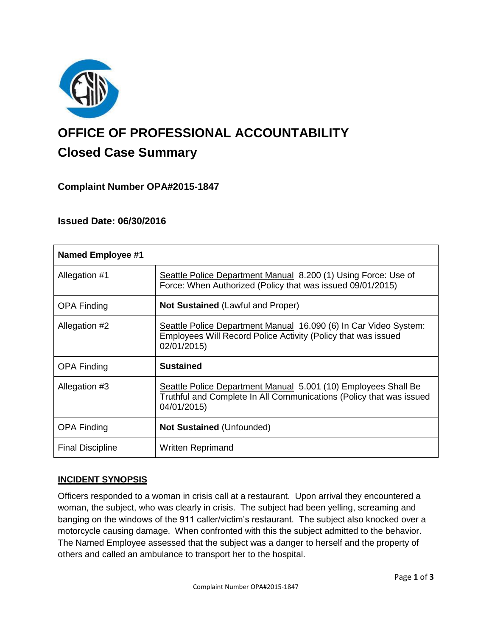

# **OFFICE OF PROFESSIONAL ACCOUNTABILITY Closed Case Summary**

## **Complaint Number OPA#2015-1847**

## **Issued Date: 06/30/2016**

| <b>Named Employee #1</b> |                                                                                                                                                      |
|--------------------------|------------------------------------------------------------------------------------------------------------------------------------------------------|
| Allegation #1            | Seattle Police Department Manual 8.200 (1) Using Force: Use of<br>Force: When Authorized (Policy that was issued 09/01/2015)                         |
| <b>OPA Finding</b>       | <b>Not Sustained (Lawful and Proper)</b>                                                                                                             |
| Allegation #2            | Seattle Police Department Manual 16.090 (6) In Car Video System:<br>Employees Will Record Police Activity (Policy that was issued<br>02/01/2015)     |
| <b>OPA Finding</b>       | <b>Sustained</b>                                                                                                                                     |
| Allegation #3            | Seattle Police Department Manual 5.001 (10) Employees Shall Be<br>Truthful and Complete In All Communications (Policy that was issued<br>04/01/2015) |
| <b>OPA Finding</b>       | <b>Not Sustained (Unfounded)</b>                                                                                                                     |
| <b>Final Discipline</b>  | <b>Written Reprimand</b>                                                                                                                             |

## **INCIDENT SYNOPSIS**

Officers responded to a woman in crisis call at a restaurant. Upon arrival they encountered a woman, the subject, who was clearly in crisis. The subject had been yelling, screaming and banging on the windows of the 911 caller/victim's restaurant. The subject also knocked over a motorcycle causing damage. When confronted with this the subject admitted to the behavior. The Named Employee assessed that the subject was a danger to herself and the property of others and called an ambulance to transport her to the hospital.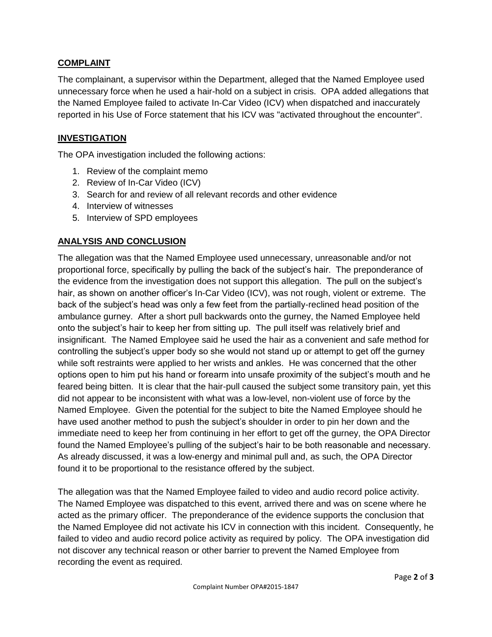## **COMPLAINT**

The complainant, a supervisor within the Department, alleged that the Named Employee used unnecessary force when he used a hair-hold on a subject in crisis. OPA added allegations that the Named Employee failed to activate In-Car Video (ICV) when dispatched and inaccurately reported in his Use of Force statement that his ICV was "activated throughout the encounter".

#### **INVESTIGATION**

The OPA investigation included the following actions:

- 1. Review of the complaint memo
- 2. Review of In-Car Video (ICV)
- 3. Search for and review of all relevant records and other evidence
- 4. Interview of witnesses
- 5. Interview of SPD employees

## **ANALYSIS AND CONCLUSION**

The allegation was that the Named Employee used unnecessary, unreasonable and/or not proportional force, specifically by pulling the back of the subject's hair. The preponderance of the evidence from the investigation does not support this allegation. The pull on the subject's hair, as shown on another officer's In-Car Video (ICV), was not rough, violent or extreme. The back of the subject's head was only a few feet from the partially-reclined head position of the ambulance gurney. After a short pull backwards onto the gurney, the Named Employee held onto the subject's hair to keep her from sitting up. The pull itself was relatively brief and insignificant. The Named Employee said he used the hair as a convenient and safe method for controlling the subject's upper body so she would not stand up or attempt to get off the gurney while soft restraints were applied to her wrists and ankles. He was concerned that the other options open to him put his hand or forearm into unsafe proximity of the subject's mouth and he feared being bitten. It is clear that the hair-pull caused the subject some transitory pain, yet this did not appear to be inconsistent with what was a low-level, non-violent use of force by the Named Employee. Given the potential for the subject to bite the Named Employee should he have used another method to push the subject's shoulder in order to pin her down and the immediate need to keep her from continuing in her effort to get off the gurney, the OPA Director found the Named Employee's pulling of the subject's hair to be both reasonable and necessary. As already discussed, it was a low-energy and minimal pull and, as such, the OPA Director found it to be proportional to the resistance offered by the subject.

The allegation was that the Named Employee failed to video and audio record police activity. The Named Employee was dispatched to this event, arrived there and was on scene where he acted as the primary officer. The preponderance of the evidence supports the conclusion that the Named Employee did not activate his ICV in connection with this incident. Consequently, he failed to video and audio record police activity as required by policy. The OPA investigation did not discover any technical reason or other barrier to prevent the Named Employee from recording the event as required.